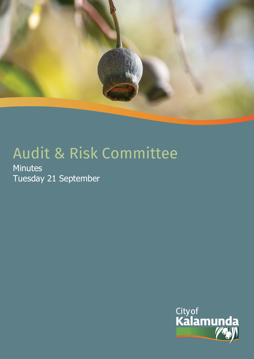

# Audit & Risk Committee

**Minutes** Tuesday 21 September

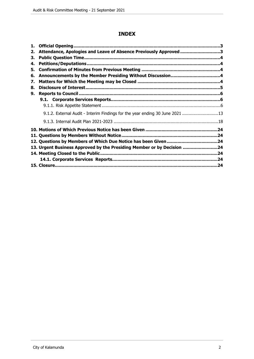# **INDEX**

| 1. |                                                                              |  |
|----|------------------------------------------------------------------------------|--|
| 2. | Attendance, Apologies and Leave of Absence Previously Approved 3             |  |
| 3. |                                                                              |  |
| 4. |                                                                              |  |
| 5. |                                                                              |  |
| 6. |                                                                              |  |
| 7. |                                                                              |  |
| 8. |                                                                              |  |
| 9. |                                                                              |  |
|    |                                                                              |  |
|    |                                                                              |  |
|    | 9.1.2. External Audit - Interim Findings for the year ending 30 June 2021 13 |  |
|    |                                                                              |  |
|    |                                                                              |  |
|    |                                                                              |  |
|    |                                                                              |  |
|    | 13. Urgent Business Approved by the Presiding Member or by Decision 24       |  |
|    |                                                                              |  |
|    |                                                                              |  |
|    |                                                                              |  |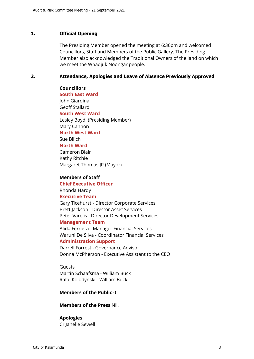# <span id="page-2-0"></span>**1. Official Opening**

The Presiding Member opened the meeting at 6:36pm and welcomed Councillors, Staff and Members of the Public Gallery. The Presiding Member also acknowledged the Traditional Owners of the land on which we meet the Whadjuk Noongar people.

#### <span id="page-2-1"></span>**2. Attendance, Apologies and Leave of Absence Previously Approved**

**Councillors South East Ward**  John Giardina Geoff Stallard **South West Ward** Lesley Boyd (Presiding Member) Mary Cannon **North West Ward** Sue Bilich **North Ward** Cameron Blair Kathy Ritchie Margaret Thomas JP (Mayor)

#### **Members of Staff**

**Chief Executive Officer** Rhonda Hardy **Executive Team** Gary Ticehurst - Director Corporate Services Brett Jackson - Director Asset Services Peter Varelis - Director Development Services

#### **Management Team**

Alida Ferriera - Manager Financial Services Waruni De Silva - Coordinator Financial Services **Administration Support**

Darrell Forrest - Governance Advisor Donna McPherson - Executive Assistant to the CEO

Guests Martin Schaafsma - William Buck Rafal Kolodynski - William Buck

#### **Members of the Public** 0

**Members of the Press** Nil.

# **Apologies**

Cr Janelle Sewell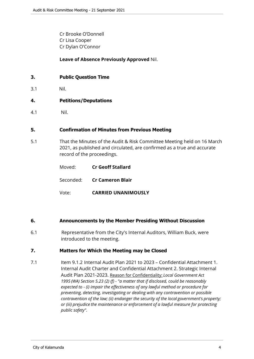Cr Brooke O'Donnell Cr Lisa Cooper Cr Dylan O'Connor

#### **Leave of Absence Previously Approved** Nil.

#### <span id="page-3-0"></span>**3. Public Question Time**

3.1 Nil.

#### <span id="page-3-1"></span>**4. Petitions/Deputations**

4.1 Nil.

#### <span id="page-3-2"></span>**5. Confirmation of Minutes from Previous Meeting**

5.1 That the Minutes of the Audit & Risk Committee Meeting held on 16 March 2021, as published and circulated, are confirmed as a true and accurate record of the proceedings.

| Moved: | <b>Cr Geoff Stallard</b>          |  |
|--------|-----------------------------------|--|
|        | Seconded: <b>Cr Cameron Blair</b> |  |
| Vote:  | <b>CARRIED UNANIMOUSLY</b>        |  |

# <span id="page-3-3"></span>**6. Announcements by the Member Presiding Without Discussion**

6.1 Representative from the City's Internal Auditors, William Buck, were introduced to the meeting.

# <span id="page-3-4"></span>**7. Matters for Which the Meeting may be Closed**

7.1 Item 9.1.2 Internal Audit Plan 2021 to 2023 – Confidential Attachment 1. Internal Audit Charter and Confidential Attachment 2. Strategic Internal Audit Plan 2021-2023. Reason for Confidentiality: *Local Government Act 1995 (WA) Section 5.23 (2) (f) - "a matter that if disclosed, could be reasonably expected to - (i) impair the effectiveness of any lawful method or procedure for preventing, detecting, investigating or dealing with any contravention or possible contravention of the law; (ii) endanger the security of the local government's property; or (iii) prejudice the maintenance or enforcement of a lawful measure for protecting public safety".*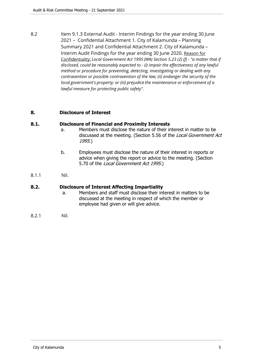8.2 Item 9.1.3 External Audit - Interim Findings for the year ending 30 June 2021 – Confidential Attachment 1. City of Kalamunda – Planning Summary 2021 and Confidential Attachment 2. City of Kalamunda – Interim Audit Findings for the year ending 30 June 2020. Reason for Confidentiality: *Local Government Act 1995 (WA) Section 5.23 (2) (f) - "a matter that if disclosed, could be reasonably expected to - (i) impair the effectiveness of any lawful method or procedure for preventing, detecting, investigating or dealing with any contravention or possible contravention of the law; (ii) endanger the security of the local government's property; or (iii) prejudice the maintenance or enforcement of a lawful measure for protecting public safety".*

#### <span id="page-4-0"></span>**8. Disclosure of Interest**

#### **8.1. Disclosure of Financial and Proximity Interests**

- a. Members must disclose the nature of their interest in matter to be discussed at the meeting. (Section 5.56 of the *Local Government Act 1995*.)
- b. Employees must disclose the nature of their interest in reports or advice when giving the report or advice to the meeting. (Section 5.70 of the *Local Government Act 1995*.)
- 8.1.1 Nil.

#### **8.2. Disclosure of Interest Affecting Impartiality**

- a. Members and staff must disclose their interest in matters to be discussed at the meeting in respect of which the member or employee had given or will give advice.
- 8.2.1 Nil.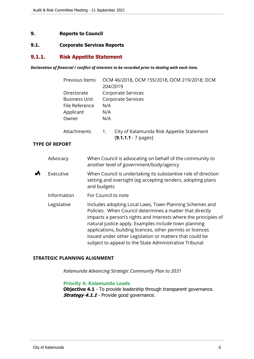#### <span id="page-5-0"></span>**9. Reports to Council**

#### <span id="page-5-1"></span>**9.1. Corporate Services Reports**

#### <span id="page-5-2"></span>**9.1.1. Risk Appetite Statement**

#### *Declaration of financial / conflict of interests to be recorded prior to dealing with each item.*

|   |                       | Previous Items                                                              |             | 204/2019          | OCM 46/2018, OCM 155/2018, OCM 219/2018; OCM                                                                                                                                                                                                                                                                                                                                                                                       |
|---|-----------------------|-----------------------------------------------------------------------------|-------------|-------------------|------------------------------------------------------------------------------------------------------------------------------------------------------------------------------------------------------------------------------------------------------------------------------------------------------------------------------------------------------------------------------------------------------------------------------------|
|   |                       | Directorate<br><b>Business Unit</b><br>File Reference<br>Applicant<br>Owner |             | N/A<br>N/A<br>N/A | Corporate Services<br>Corporate Services                                                                                                                                                                                                                                                                                                                                                                                           |
|   |                       | Attachments                                                                 |             | 1.                | City of Kalamunda Risk Appetite Statement<br>$[9.1.1.1 - 7$ pages]                                                                                                                                                                                                                                                                                                                                                                 |
|   | <b>TYPE OF REPORT</b> |                                                                             |             |                   |                                                                                                                                                                                                                                                                                                                                                                                                                                    |
|   | Advocacy              |                                                                             |             |                   | When Council is advocating on behalf of the community to<br>another level of government/body/agency                                                                                                                                                                                                                                                                                                                                |
| Å | Executive             |                                                                             | and budgets |                   | When Council is undertaking its substantive role of direction<br>setting and oversight (eg accepting tenders, adopting plans                                                                                                                                                                                                                                                                                                       |
|   | Information           |                                                                             |             |                   | For Council to note                                                                                                                                                                                                                                                                                                                                                                                                                |
|   | Legislative           |                                                                             |             |                   | Includes adopting Local Laws, Town Planning Schemes and<br>Policies. When Council determines a matter that directly<br>impacts a person's rights and interests where the principles of<br>natural justice apply. Examples include town planning<br>applications, building licences, other permits or licences<br>issued under other Legislation or matters that could be<br>subject to appeal to the State Administrative Tribunal |

#### **STRATEGIC PLANNING ALIGNMENT**

*Kalamunda Advancing Strategic Community Plan to 2031*

#### **Priority 4: Kalamunda Leads**

**Objective 4.1** - To provide leadership through transparent governance. **Strategy 4.1.1** - Provide good governance.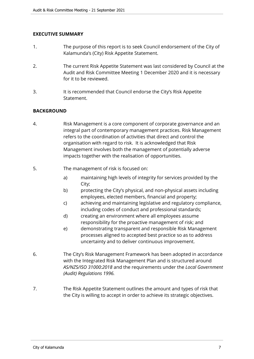# **EXECUTIVE SUMMARY**

- 1. The purpose of this report is to seek Council endorsement of the City of Kalamunda's (City) Risk Appetite Statement.
- 2. The current Risk Appetite Statement was last considered by Council at the Audit and Risk Committee Meeting 1 December 2020 and it is necessary for it to be reviewed.
- 3. It is recommended that Council endorse the City's Risk Appetite Statement.

# **BACKGROUND**

- 4. Risk Management is a core component of corporate governance and an integral part of contemporary management practices. Risk Management refers to the coordination of activities that direct and control the organisation with regard to risk. It is acknowledged that Risk Management involves both the management of potentially adverse impacts together with the realisation of opportunities.
- 5. The management of risk is focused on:
	- a) maintaining high levels of integrity for services provided by the City;
	- b) protecting the City's physical, and non-physical assets including employees, elected members, financial and property;
	- c) achieving and maintaining legislative and regulatory compliance, including codes of conduct and professional standards;
	- d) creating an environment where all employees assume responsibility for the proactive management of risk; and
	- e) demonstrating transparent and responsible Risk Management processes aligned to accepted best practice so as to address uncertainty and to deliver continuous improvement.
- 6. The City's Risk Management Framework has been adopted in accordance with the Integrated Risk Management Plan and is structured around *AS/NZS/ISO 31000:2018* and the requirements under the *Local Government (Audit) Regulations 1996.*
- 7. The Risk Appetite Statement outlines the amount and types of risk that the City is willing to accept in order to achieve its strategic objectives.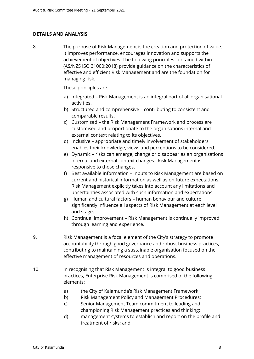# **DETAILS AND ANALYSIS**

8. The purpose of Risk Management is the creation and protection of value. It improves performance, encourages innovation and supports the achievement of objectives. The following principles contained within (AS/NZS ISO 31000:2018) provide guidance on the characteristics of effective and efficient Risk Management and are the foundation for managing risk.

These principles are:-

- a) Integrated Risk Management is an integral part of all organisational activities.
- b) Structured and comprehensive contributing to consistent and comparable results.
- c) Customised the Risk Management Framework and process are customised and proportionate to the organisations internal and external context relating to its objectives.
- d) Inclusive appropriate and timely involvement of stakeholders enables their knowledge, views and perceptions to be considered.
- e) Dynamic risks can emerge, change or disappear as an organisations internal and external context changes. Risk Management is responsive to those changes.
- f) Best available information inputs to Risk Management are based on current and historical information as well as on future expectations. Risk Management explicitly takes into account any limitations and uncertainties associated with such information and expectations.
- g) Human and cultural factors human behaviour and culture significantly influence all aspects of Risk Management at each level and stage.
- h) Continual improvement Risk Management is continually improved through learning and experience.
- 9. Risk Management is a focal element of the City's strategy to promote accountability through good governance and robust business practices, contributing to maintaining a sustainable organisation focused on the effective management of resources and operations.
- 10. In recognising that Risk Management is integral to good business practices, Enterprise Risk Management is comprised of the following elements:
	- a) the City of Kalamunda's Risk Management Framework;
	- b) Risk Management Policy and Management Procedures;
	- c) Senior Management Team commitment to leading and championing Risk Management practices and thinking;
	- d) management systems to establish and report on the profile and treatment of risks; and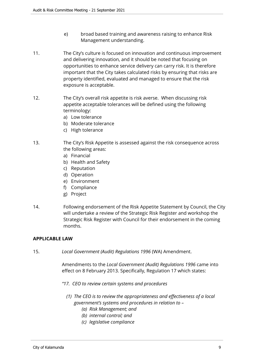- e) broad based training and awareness raising to enhance Risk Management understanding.
- 11. The City's culture is focused on innovation and continuous improvement and delivering innovation, and it should be noted that focusing on opportunities to enhance service delivery can carry risk. It is therefore important that the City takes calculated risks by ensuring that risks are property identified, evaluated and managed to ensure that the risk exposure is acceptable.
- 12. The City's overall risk appetite is risk averse. When discussing risk appetite acceptable tolerances will be defined using the following terminology:
	- a) Low tolerance
	- b) Moderate tolerance
	- c) High tolerance
- 13. The City's Risk Appetite is assessed against the risk consequence across the following areas:
	- a) Financial
	- b) Health and Safety
	- c) Reputation
	- d) Operation
	- e) Environment
	- f) Compliance
	- g) Project
- 14. Following endorsement of the Risk Appetite Statement by Council, the City will undertake a review of the Strategic Risk Register and workshop the Strategic Risk Register with Council for their endorsement in the coming months.

#### **APPLICABLE LAW**

15. *Local Government (Audit) Regulations 1996* (WA) Amendment.

Amendments to the *Local Government (Audit) Regulations 1996* came into effect on 8 February 2013. Specifically, Regulation 17 which states:

- *"17. CEO to review certain systems and procedures*
	- *(1) The CEO is to review the appropriateness and effectiveness of a local government's systems and procedures in relation to –* 
		- *(a) Risk Management; and*
		- *(b) internal control; and*
		- *(c) legislative compliance*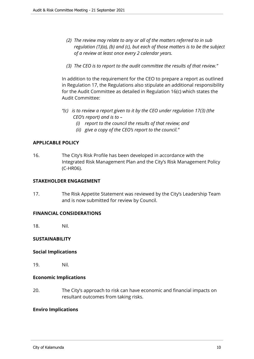- *(2) The review may relate to any or all of the matters referred to in sub regulation (1)(a), (b) and (c), but each of those matters is to be the subject of a review at least once every 2 calendar years.*
- *(3) The CEO is to report to the audit committee the results of that review."*

In addition to the requirement for the CEO to prepare a report as outlined in Regulation 17, the Regulations also stipulate an additional responsibility for the Audit Committee as detailed in Regulation 16(c) which states the Audit Committee:

- *"(c) is to review a report given to it by the CEO under regulation 17(3) (the CEO's report) and is to –* 
	- *(i) report to the council the results of that review; and*
	- *(ii) give a copy of the CEO's report to the council."*

# **APPLICABLE POLICY**

16. The City's Risk Profile has been developed in accordance with the Integrated Risk Management Plan and the City's Risk Management Policy (C-HR06).

#### **STAKEHOLDER ENGAGEMENT**

17. The Risk Appetite Statement was reviewed by the City's Leadership Team and is now submitted for review by Council.

# **FINANCIAL CONSIDERATIONS**

18. Nil.

# **SUSTAINABILITY**

# **Social Implications**

19. Nil.

# **Economic Implications**

20. The City's approach to risk can have economic and financial impacts on resultant outcomes from taking risks.

# **Enviro Implications**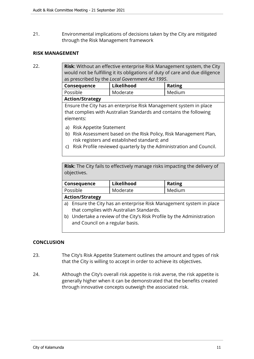21. Environmental implications of decisions taken by the City are mitigated through the Risk Management framework

#### **RISK MANAGEMENT**

22. **Risk**: Without an effective enterprise Risk Management system, the City would not be fulfilling it its obligations of duty of care and due diligence as prescribed by the *Local Government Act 1995*.

| , Consequence          | Likelihood | <b>Rating</b> |  |
|------------------------|------------|---------------|--|
| Possible               | Moderate   | Medium        |  |
| <b>Action/Strategy</b> |            |               |  |

Ensure the City has an enterprise Risk Management system in place that complies with Australian Standards and contains the following elements:

- a) Risk Appetite Statement
- b) Risk Assessment based on the Risk Policy, Risk Management Plan, risk registers and established standard; and
- c) Risk Profile reviewed quarterly by the Administration and Council.

**Risk**: The City fails to effectively manage risks impacting the delivery of objectives.

| Consequence            | Likelihood | <b>Rating</b> |  |
|------------------------|------------|---------------|--|
| Possible               | Moderate   | Medium        |  |
| <b>Action/Strategy</b> |            |               |  |

- a) Ensure the City has an enterprise Risk Management system in place that complies with Australian Standards.
- b) Undertake a review of the City's Risk Profile by the Administration and Council on a regular basis.

# **CONCLUSION**

- 23. The City's Risk Appetite Statement outlines the amount and types of risk that the City is willing to accept in order to achieve its objectives.
- 24. Although the City's overall risk appetite is risk averse, the risk appetite is generally higher when it can be demonstrated that the benefits created through innovative concepts outweigh the associated risk.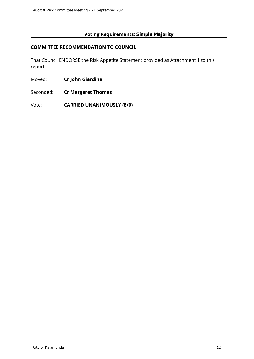# **Voting Requirements: Simple Majority**

#### **COMMITTEE RECOMMENDATION TO COUNCIL**

That Council ENDORSE the Risk Appetite Statement provided as Attachment 1 to this report.

- Moved: **Cr John Giardina**
- Seconded: **Cr Margaret Thomas**

Vote: **CARRIED UNANIMOUSLY (8/0)**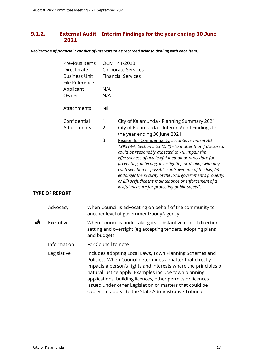# <span id="page-12-0"></span>**9.1.2. External Audit - Interim Findings for the year ending 30 June 2021**

*Declaration of financial / conflict of interests to be recorded prior to dealing with each item.*

| Previous Items                         | OCM 141/2020              |                                                                                                                                                                                                                                                                                                                                                                                                                                                                                                                              |  |
|----------------------------------------|---------------------------|------------------------------------------------------------------------------------------------------------------------------------------------------------------------------------------------------------------------------------------------------------------------------------------------------------------------------------------------------------------------------------------------------------------------------------------------------------------------------------------------------------------------------|--|
| Directorate                            | Corporate Services        |                                                                                                                                                                                                                                                                                                                                                                                                                                                                                                                              |  |
| <b>Business Unit</b><br>File Reference | <b>Financial Services</b> |                                                                                                                                                                                                                                                                                                                                                                                                                                                                                                                              |  |
| Applicant                              | N/A                       |                                                                                                                                                                                                                                                                                                                                                                                                                                                                                                                              |  |
| Owner                                  | N/A                       |                                                                                                                                                                                                                                                                                                                                                                                                                                                                                                                              |  |
| Attachments                            | Nil                       |                                                                                                                                                                                                                                                                                                                                                                                                                                                                                                                              |  |
| Confidential                           | 1.                        | City of Kalamunda - Planning Summary 2021                                                                                                                                                                                                                                                                                                                                                                                                                                                                                    |  |
| Attachments                            | 2.                        | City of Kalamunda - Interim Audit Findings for                                                                                                                                                                                                                                                                                                                                                                                                                                                                               |  |
|                                        |                           | the year ending 30 June 2021                                                                                                                                                                                                                                                                                                                                                                                                                                                                                                 |  |
| 3.                                     |                           | Reason for Confidentiality: Local Government Act<br>1995 (WA) Section 5.23 (2) (f) - "a matter that if disclosed,<br>could be reasonably expected to - (i) impair the<br>effectiveness of any lawful method or procedure for<br>preventing, detecting, investigating or dealing with any<br>contravention or possible contravention of the law; (ii)<br>endanger the security of the local government's property;<br>or (iii) prejudice the maintenance or enforcement of a<br>lawful measure for protecting public safety". |  |

# **TYPE OF REPORT**

| Advocacy    | When Council is advocating on behalf of the community to<br>another level of government/body/agency                                                                                                                                                                                                                                                                                                                                |
|-------------|------------------------------------------------------------------------------------------------------------------------------------------------------------------------------------------------------------------------------------------------------------------------------------------------------------------------------------------------------------------------------------------------------------------------------------|
| Executive   | When Council is undertaking its substantive role of direction<br>setting and oversight (eg accepting tenders, adopting plans<br>and budgets                                                                                                                                                                                                                                                                                        |
| Information | For Council to note                                                                                                                                                                                                                                                                                                                                                                                                                |
| Legislative | Includes adopting Local Laws, Town Planning Schemes and<br>Policies. When Council determines a matter that directly<br>impacts a person's rights and interests where the principles of<br>natural justice apply. Examples include town planning<br>applications, building licences, other permits or licences<br>issued under other Legislation or matters that could be<br>subject to appeal to the State Administrative Tribunal |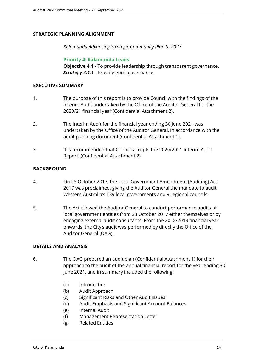# **STRATEGIC PLANNING ALIGNMENT**

*Kalamunda Advancing Strategic Community Plan to 2027*

**Priority 4: Kalamunda Leads**

**Objective 4.1** - To provide leadership through transparent governance. *Strategy 4.1.1* - Provide good governance.

#### **EXECUTIVE SUMMARY**

- 1. The purpose of this report is to provide Council with the findings of the Interim Audit undertaken by the Office of the Auditor General for the 2020/21 financial year (Confidential Attachment 2).
- 2. The Interim Audit for the financial year ending 30 June 2021 was undertaken by the Office of the Auditor General, in accordance with the audit planning document (Confidential Attachment 1).
- 3. It is recommended that Council accepts the 2020/2021 Interim Audit Report. (Confidential Attachment 2).

# **BACKGROUND**

- 4. On 28 October 2017, the Local Government Amendment (Auditing) Act 2017 was proclaimed, giving the Auditor General the mandate to audit Western Australia's 139 local governments and 9 regional councils.
- 5. The Act allowed the Auditor General to conduct performance audits of local government entities from 28 October 2017 either themselves or by engaging external audit consultants. From the 2018/2019 financial year onwards, the City's audit was performed by directly the Office of the Auditor General (OAG).

# **DETAILS AND ANALYSIS**

- 6. The OAG prepared an audit plan (Confidential Attachment 1) for their approach to the audit of the annual financial report for the year ending 30 June 2021, and in summary included the following:
	- (a) Introduction
	- (b) Audit Approach
	- (c) Significant Risks and Other Audit Issues
	- (d) Audit Emphasis and Significant Account Balances
	- (e) Internal Audit
	- (f) Management Representation Letter
	- (g) Related Entities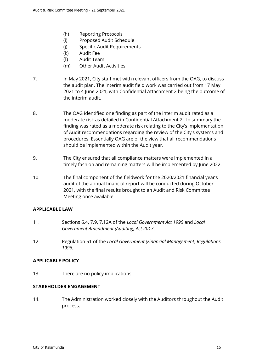- (h) Reporting Protocols
- (i) Proposed Audit Schedule
- (j) Specific Audit Requirements
- (k) Audit Fee
- (l) Audit Team
- (m) Other Audit Activities
- 7. In May 2021, City staff met with relevant officers from the OAG, to discuss the audit plan. The interim audit field work was carried out from 17 May 2021 to 4 June 2021, with Confidential Attachment 2 being the outcome of the interim audit.
- 8. The OAG identified one finding as part of the interim audit rated as a moderate risk as detailed in Confidential Attachment 2. In summary the finding was rated as a moderate risk relating to the City's implementation of Audit recommendations regarding the review of the City's systems and procedures. Essentially OAG are of the view that all recommendations should be implemented within the Audit year.
- 9. The City ensured that all compliance matters were implemented in a timely fashion and remaining matters will be implemented by June 2022.
- 10. The final component of the fieldwork for the 2020/2021 financial year's audit of the annual financial report will be conducted during October 2021, with the final results brought to an Audit and Risk Committee Meeting once available.

# **APPLICABLE LAW**

- 11. Sections 6.4, 7.9, 7.12A of the *Local Government Act 1995* and *Local Government Amendment (Auditing) Act 2017*.
- 12. Regulation 51 of the *Local Government (Financial Management) Regulations 1996.*

# **APPLICABLE POLICY**

13. There are no policy implications.

# **STAKEHOLDER ENGAGEMENT**

14. The Administration worked closely with the Auditors throughout the Audit process.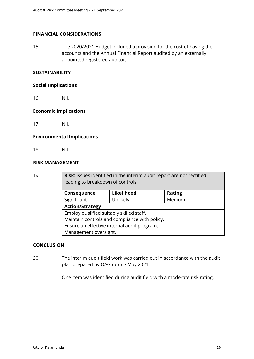# **FINANCIAL CONSIDERATIONS**

15. The 2020/2021 Budget included a provision for the cost of having the accounts and the Annual Financial Report audited by an externally appointed registered auditor.

# **SUSTAINABILITY**

#### **Social Implications**

16. Nil.

#### **Economic Implications**

17. Nil.

#### **Environmental Implications**

18. Nil.

# **RISK MANAGEMENT**

19. **Risk**: Issues identified in the interim audit report are not rectified leading to breakdown of controls.

| Consequence                                   | Likelihood | <b>Rating</b> |  |  |
|-----------------------------------------------|------------|---------------|--|--|
| Significant                                   | Unlikely   | Medium        |  |  |
| <b>Action/Strategy</b>                        |            |               |  |  |
| Employ qualified suitably skilled staff.      |            |               |  |  |
| Maintain controls and compliance with policy. |            |               |  |  |
| Ensure an effective internal audit program.   |            |               |  |  |
| Management oversight.                         |            |               |  |  |

# **CONCLUSION**

20. The interim audit field work was carried out in accordance with the audit plan prepared by OAG during May 2021.

One item was identified during audit field with a moderate risk rating.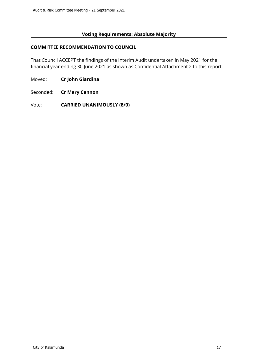# **Voting Requirements: Absolute Majority**

#### **COMMITTEE RECOMMENDATION TO COUNCIL**

That Council ACCEPT the findings of the Interim Audit undertaken in May 2021 for the financial year ending 30 June 2021 as shown as Confidential Attachment 2 to this report.

Moved: **Cr John Giardina**

Seconded: **Cr Mary Cannon**

Vote: **CARRIED UNANIMOUSLY (8/0)**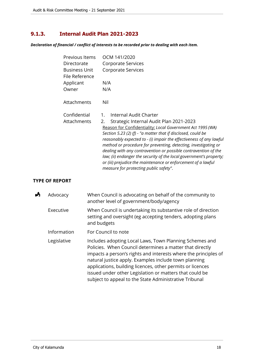# <span id="page-17-0"></span>**9.1.3. Internal Audit Plan 2021-2023**

*Declaration of financial / conflict of interests to be recorded prior to dealing with each item.*

| Previous Items<br>Directorate<br><b>Business Unit</b><br>File Reference | OCM 141/2020<br>Corporate Services<br>Corporate Services                                                                                                                                                                                                                                                                                                                                                                                                                                                                                                                                                   |
|-------------------------------------------------------------------------|------------------------------------------------------------------------------------------------------------------------------------------------------------------------------------------------------------------------------------------------------------------------------------------------------------------------------------------------------------------------------------------------------------------------------------------------------------------------------------------------------------------------------------------------------------------------------------------------------------|
| Applicant                                                               | N/A                                                                                                                                                                                                                                                                                                                                                                                                                                                                                                                                                                                                        |
| Owner                                                                   | N/A                                                                                                                                                                                                                                                                                                                                                                                                                                                                                                                                                                                                        |
| Attachments                                                             | Nil                                                                                                                                                                                                                                                                                                                                                                                                                                                                                                                                                                                                        |
| Confidential<br>Attachments                                             | Internal Audit Charter<br>1.<br>Strategic Internal Audit Plan 2021-2023<br>2.<br>Reason for Confidentiality: Local Government Act 1995 (WA)<br>Section 5.23 (2) (f) - "a matter that if disclosed, could be<br>reasonably expected to - (i) impair the effectiveness of any lawful<br>method or procedure for preventing, detecting, investigating or<br>dealing with any contravention or possible contravention of the<br>law; (ii) endanger the security of the local government's property;<br>or (iii) prejudice the maintenance or enforcement of a lawful<br>measure for protecting public safety". |

# **TYPE OF REPORT**

| Å | Advocacy    | When Council is advocating on behalf of the community to<br>another level of government/body/agency                                                                                                                                                                                                                                                                                                                                |
|---|-------------|------------------------------------------------------------------------------------------------------------------------------------------------------------------------------------------------------------------------------------------------------------------------------------------------------------------------------------------------------------------------------------------------------------------------------------|
|   | Executive   | When Council is undertaking its substantive role of direction<br>setting and oversight (eg accepting tenders, adopting plans<br>and budgets                                                                                                                                                                                                                                                                                        |
|   | Information | For Council to note                                                                                                                                                                                                                                                                                                                                                                                                                |
|   | Legislative | Includes adopting Local Laws, Town Planning Schemes and<br>Policies. When Council determines a matter that directly<br>impacts a person's rights and interests where the principles of<br>natural justice apply. Examples include town planning<br>applications, building licences, other permits or licences<br>issued under other Legislation or matters that could be<br>subject to appeal to the State Administrative Tribunal |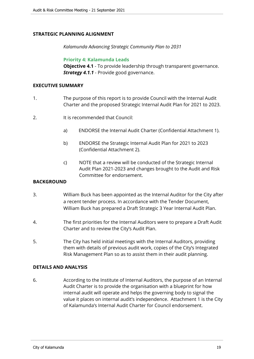# **STRATEGIC PLANNING ALIGNMENT**

*Kalamunda Advancing Strategic Community Plan to 2031*

**Priority 4: Kalamunda Leads**

**Objective 4.1** - To provide leadership through transparent governance. *Strategy 4.1.1* - Provide good governance.

#### **EXECUTIVE SUMMARY**

- 1. The purpose of this report is to provide Council with the Internal Audit Charter and the proposed Strategic Internal Audit Plan for 2021 to 2023.
- 2. It is recommended that Council:
	- a) ENDORSE the Internal Audit Charter (Confidential Attachment 1).
	- b) ENDORSE the Strategic Internal Audit Plan for 2021 to 2023 (Confidential Attachment 2).
	- c) NOTE that a review will be conducted of the Strategic Internal Audit Plan 2021-2023 and changes brought to the Audit and Risk Committee for endorsement.

# **BACKGROUND**

- 3. William Buck has been appointed as the Internal Auditor for the City after a recent tender process. In accordance with the Tender Document, William Buck has prepared a Draft Strategic 3 Year Internal Audit Plan.
- 4. The first priorities for the Internal Auditors were to prepare a Draft Audit Charter and to review the City's Audit Plan.
- 5. The City has held initial meetings with the Internal Auditors, providing them with details of previous audit work, copies of the City's Integrated Risk Management Plan so as to assist them in their audit planning.

# **DETAILS AND ANALYSIS**

6. According to the Institute of Internal Auditors, the purpose of an Internal Audit Charter is to provide the organisation with a blueprint for how internal audit will operate and helps the governing body to signal the value it places on internal audit's independence. Attachment 1 is the City of Kalamunda's Internal Audit Charter for Council endorsement.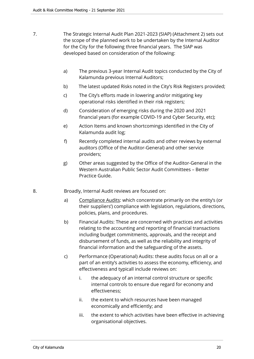- 7. The Strategic Internal Audit Plan 2021-2023 (SIAP) (Attachment 2) sets out the scope of the planned work to be undertaken by the Internal Auditor for the City for the following three financial years. The SIAP was developed based on consideration of the following:
	- a) The previous 3-year Internal Audit topics conducted by the City of Kalamunda previous Internal Auditors;
	- b) The latest updated Risks noted in the City's Risk Registers provided;
	- c) The City's efforts made in lowering and/or mitigating key operational risks identified in their risk registers;
	- d) Consideration of emerging risks during the 2020 and 2021 financial years (for example COVID-19 and Cyber Security, etc);
	- e) Action Items and known shortcomings identified in the City of Kalamunda audit log;
	- f) Recently completed internal audits and other reviews by external auditors (Office of the Auditor-General) and other service providers;
	- g) Other areas suggested by the Office of the Auditor-General in the Western Australian Public Sector Audit Committees – Better Practice Guide.
- 8. Broadly, Internal Audit reviews are focused on:
	- a) Compliance Audits: which concentrate primarily on the entity's (or their suppliers') compliance with legislation, regulations, directions, policies, plans, and procedures.
	- b) Financial Audits: These are concerned with practices and activities relating to the accounting and reporting of financial transactions including budget commitments, approvals, and the receipt and disbursement of funds, as well as the reliability and integrity of financial information and the safeguarding of the assets.
	- c) Performance (Operational) Audits: these audits focus on all or a part of an entity's activities to assess the economy, efficiency, and effectiveness and typicall include reviews on:
		- i. the adequacy of an internal control structure or specific internal controls to ensure due regard for economy and effectiveness;
		- ii. the extent to which resources have been managed economically and efficiently; and
		- iii. the extent to which activities have been effective in achieving organisational objectives.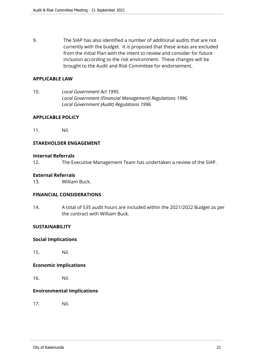9. The SIAP has also identified a number of additional audits that are not currently with the budget. It is proposed that these areas are excluded from the initial Plan with the intent to review and consider for future inclusion according to the risk environment. These changes will be brought to the Audit and Risk Committee for endorsement.

#### **APPLICABLE LAW**

10. *Local Government Act 1995. Local Government (Financial Management) Regulations 1996. Local Government (Audit) Regulations 1996.*

#### **APPLICABLE POLICY**

11. Nil.

#### **STAKEHOLDER ENGAGEMENT**

#### **Internal Referrals**

12. The Executive Management Team has undertaken a review of the SIAP.

#### **External Referrals**

13. William Buck.

#### **FINANCIAL CONSIDERATIONS**

14. A total of 535 audit hours are included within the 2021/2022 Budget as per the contract with William Buck.

#### **SUSTAINABILITY**

#### **Social Implications**

15. Nil.

#### **Economic Implications**

16. Nil.

#### **Environmental Implications**

17. Nil.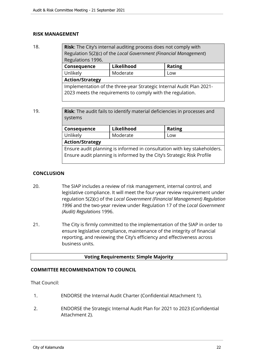#### **RISK MANAGEMENT**

| 18. | Risk: The City's internal auditing process does not comply with<br>Regulation 5(2)(c) of the Local Government (Financial Management)<br>Regulations 1996. |            |               |  |  |
|-----|-----------------------------------------------------------------------------------------------------------------------------------------------------------|------------|---------------|--|--|
|     | Consequence                                                                                                                                               | Likelihood | <b>Rating</b> |  |  |
|     | Unlikely                                                                                                                                                  | Moderate   | Low           |  |  |
|     | <b>Action/Strategy</b>                                                                                                                                    |            |               |  |  |
|     | Implementation of the three-year Strategic Internal Audit Plan 2021-<br>2023 meets the requirements to comply with the regulation.                        |            |               |  |  |

19. **Risk**: The audit fails to identify material deficiencies in processes and systems

| Consequence                                                              | Likelihood | <b>Rating</b> |  |
|--------------------------------------------------------------------------|------------|---------------|--|
| Unlikely                                                                 | Moderate   | Low           |  |
| <b>Action/Strategy</b>                                                   |            |               |  |
| Ensure audit planning is informed in consultation with key stakeholders. |            |               |  |
| Ensure audit planning is informed by the City's Strategic Risk Profile   |            |               |  |
|                                                                          |            |               |  |

# **CONCLUSION**

- 20. The SIAP includes a review of risk management, internal control, and legislative compliance. It will meet the four-year review requirement under regulation 5(2)(c) of the *Local Government (Financial Management) Regulation 1996* and the two-year review under Regulation 17 of the *Local Government (Audit) Regulations* 1996.
- 21. The City is firmly committed to the implementation of the SIAP in order to ensure legislative compliance, maintenance of the integrity of financial reporting, and reviewing the City's efficiency and effectiveness across business units.

# **Voting Requirements: Simple Majority**

# **COMMITTEE RECOMMENDATION TO COUNCIL**

That Council:

- 1. ENDORSE the Internal Audit Charter (Confidential Attachment 1).
- 2. ENDORSE the Strategic Internal Audit Plan for 2021 to 2023 (Confidential Attachment 2).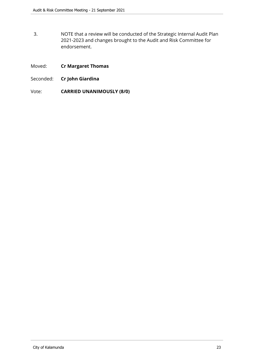- 3. NOTE that a review will be conducted of the Strategic Internal Audit Plan 2021-2023 and changes brought to the Audit and Risk Committee for endorsement.
- Moved: **Cr Margaret Thomas**
- Seconded: **Cr John Giardina**
- Vote: **CARRIED UNANIMOUSLY (8/0)**